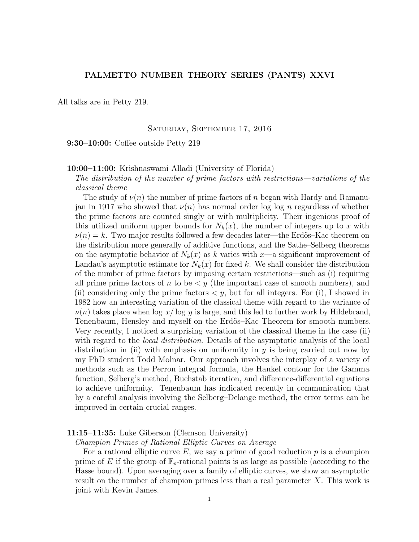# PALMETTO NUMBER THEORY SERIES (PANTS) XXVI

All talks are in Petty 219.

## Saturday, September 17, 2016

9:30–10:00: Coffee outside Petty 219

# 10:00–11:00: Krishnaswami Alladi (University of Florida)

The distribution of the number of prime factors with restrictions—variations of the classical theme

The study of  $\nu(n)$  the number of prime factors of n began with Hardy and Ramanujan in 1917 who showed that  $\nu(n)$  has normal order log log n regardless of whether the prime factors are counted singly or with multiplicity. Their ingenious proof of this utilized uniform upper bounds for  $N_k(x)$ , the number of integers up to x with  $\nu(n) = k$ . Two major results followed a few decades later—the Erdös–Kac theorem on the distribution more generally of additive functions, and the Sathe–Selberg theorems on the asymptotic behavior of  $N_k(x)$  as k varies with x—a significant improvement of Landau's asymptotic estimate for  $N_k(x)$  for fixed k. We shall consider the distribution of the number of prime factors by imposing certain restrictions—such as (i) requiring all prime prime factors of n to be  $\lt y$  (the important case of smooth numbers), and (ii) considering only the prime factors  $\lt y$ , but for all integers. For (i), I showed in 1982 how an interesting variation of the classical theme with regard to the variance of  $\nu(n)$  takes place when log x/log y is large, and this led to further work by Hildebrand, Tenenbaum, Hensley and myself on the Erdös–Kac Theorem for smooth numbers. Very recently, I noticed a surprising variation of the classical theme in the case (ii) with regard to the *local distribution*. Details of the asymptotic analysis of the local distribution in (ii) with emphasis on uniformity in  $y$  is being carried out now by my PhD student Todd Molnar. Our approach involves the interplay of a variety of methods such as the Perron integral formula, the Hankel contour for the Gamma function, Selberg's method, Buchstab iteration, and difference-differential equations to achieve uniformity. Tenenbaum has indicated recently in communication that by a careful analysis involving the Selberg–Delange method, the error terms can be improved in certain crucial ranges.

## 11:15–11:35: Luke Giberson (Clemson University)

Champion Primes of Rational Elliptic Curves on Average

For a rational elliptic curve  $E$ , we say a prime of good reduction  $p$  is a champion prime of E if the group of  $\mathbb{F}_p$ -rational points is as large as possible (according to the Hasse bound). Upon averaging over a family of elliptic curves, we show an asymptotic result on the number of champion primes less than a real parameter X. This work is joint with Kevin James.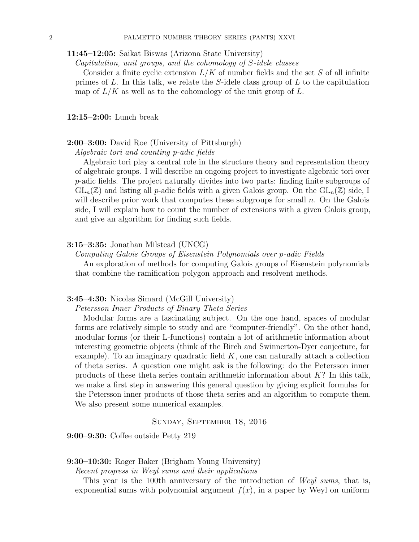11:45–12:05: Saikat Biswas (Arizona State University)

Capitulation, unit groups, and the cohomology of S-idele classes

Consider a finite cyclic extension  $L/K$  of number fields and the set S of all infinite primes of L. In this talk, we relate the S-idele class group of L to the capitulation map of  $L/K$  as well as to the cohomology of the unit group of  $L$ .

12:15–2:00: Lunch break

## 2:00–3:00: David Roe (University of Pittsburgh)

Algebraic tori and counting p-adic fields

Algebraic tori play a central role in the structure theory and representation theory of algebraic groups. I will describe an ongoing project to investigate algebraic tori over p-adic fields. The project naturally divides into two parts: finding finite subgroups of  $GL_n(\mathbb{Z})$  and listing all p-adic fields with a given Galois group. On the  $GL_n(\mathbb{Z})$  side, I will describe prior work that computes these subgroups for small  $n$ . On the Galois side, I will explain how to count the number of extensions with a given Galois group, and give an algorithm for finding such fields.

#### 3:15–3:35: Jonathan Milstead (UNCG)

Computing Galois Groups of Eisenstein Polynomials over p-adic Fields

An exploration of methods for computing Galois groups of Eisenstein polynomials that combine the ramification polygon approach and resolvent methods.

### 3:45–4:30: Nicolas Simard (McGill University)

Petersson Inner Products of Binary Theta Series

Modular forms are a fascinating subject. On the one hand, spaces of modular forms are relatively simple to study and are "computer-friendly". On the other hand, modular forms (or their L-functions) contain a lot of arithmetic information about interesting geometric objects (think of the Birch and Swinnerton-Dyer conjecture, for example). To an imaginary quadratic field  $K$ , one can naturally attach a collection of theta series. A question one might ask is the following: do the Petersson inner products of these theta series contain arithmetic information about  $K$ ? In this talk, we make a first step in answering this general question by giving explicit formulas for the Petersson inner products of those theta series and an algorithm to compute them. We also present some numerical examples.

Sunday, September 18, 2016

9:00–9:30: Coffee outside Petty 219

### 9:30–10:30: Roger Baker (Brigham Young University)

Recent progress in Weyl sums and their applications

This year is the 100th anniversary of the introduction of *Weyl sums*, that is, exponential sums with polynomial argument  $f(x)$ , in a paper by Weyl on uniform